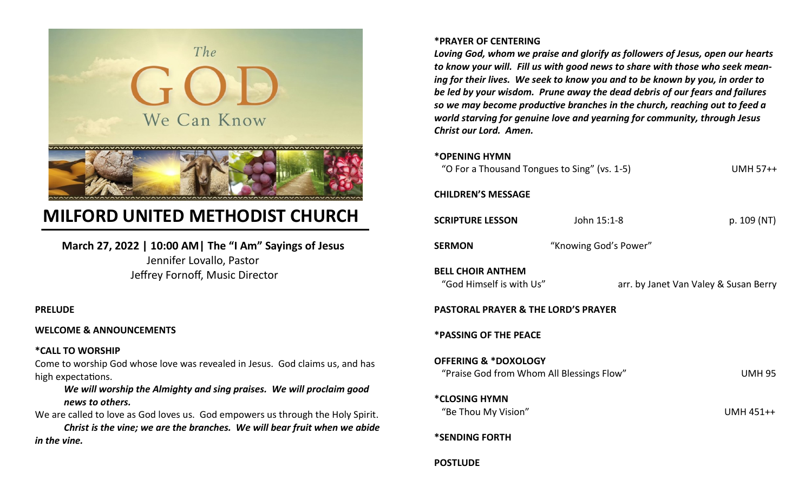

# **MILFORD UNITED METHODIST CHURCH**

**March 27, 2022 | 10:00 AM| The "I Am" Sayings of Jesus** Jennifer Lovallo, Pastor Jeffrey Fornoff, Music Director

### **PRELUDE**

### **WELCOME & ANNOUNCEMENTS**

### **\*CALL TO WORSHIP**

Come to worship God whose love was revealed in Jesus. God claims us, and has high expectations.

### *We will worship the Almighty and sing praises. We will proclaim good news to others.*

We are called to love as God loves us. God empowers us through the Holy Spirit. *Christ is the vine; we are the branches. We will bear fruit when we abide in the vine.*

### **\*PRAYER OF CENTERING**

*Loving God, whom we praise and glorify as followers of Jesus, open our hearts to know your will. Fill us with good news to share with those who seek meaning for their lives. We seek to know you and to be known by you, in order to be led by your wisdom. Prune away the dead debris of our fears and failures so we may become productive branches in the church, reaching out to feed a world starving for genuine love and yearning for community, through Jesus Christ our Lord. Amen.*

### **\*OPENING HYMN**

| "O For a Thousand Tongues to Sing" (vs. 1-5) | <b>UMH 57++</b> |
|----------------------------------------------|-----------------|
|                                              |                 |

### **CHILDREN'S MESSAGE**

| <b>SCRIPTURE LESSON</b>                                                      | John 15:1-8           | p. 109 (NT)                           |
|------------------------------------------------------------------------------|-----------------------|---------------------------------------|
| <b>SERMON</b>                                                                | "Knowing God's Power" |                                       |
| <b>BELL CHOIR ANTHEM</b><br>"God Himself is with Us"                         |                       | arr. by Janet Van Valey & Susan Berry |
| <b>PASTORAL PRAYER &amp; THE LORD'S PRAYER</b>                               |                       |                                       |
| <b>*PASSING OF THE PEACE</b>                                                 |                       |                                       |
| <b>OFFERING &amp; *DOXOLOGY</b><br>"Praise God from Whom All Blessings Flow" |                       | <b>UMH 95</b>                         |
| *CLOSING HYMN<br>"Be Thou My Vision"                                         |                       | UMH 451++                             |
| *SENDING FORTH                                                               |                       |                                       |
| <b>POSTLUDE</b>                                                              |                       |                                       |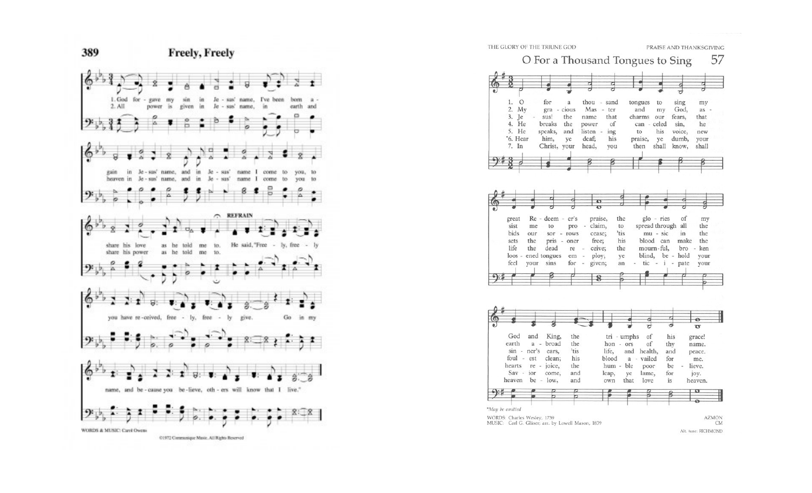

|                       |               |                     |            |                 |              |               |               |                | π          |         |  |
|-----------------------|---------------|---------------------|------------|-----------------|--------------|---------------|---------------|----------------|------------|---------|--|
| 1.<br>$\Omega$        |               | for                 | a          | thou - sand     |              |               | tongues       | to             | sing       | my      |  |
| 2.<br>My              |               | gra - cious         |            | Mas - ter       |              |               | and           | my             | God,       | $as -$  |  |
| 3.<br><b>Te</b>       |               | sus!                | the        | name            | that         |               | charms        | our            | fears,     | that    |  |
| 4. He                 |               | breaks              | the        | power           | of           |               | can - celed   |                | sin,       | he      |  |
| 5. He                 |               | speaks,             | and        | listen -        | ing          |               | to            | his            | voice,     | new     |  |
| *6. Hear              |               | him,                | ye         | deaf;           | his          |               | praise,       | ye             | dumb,      | your    |  |
| 7. In                 |               | Christ, your        |            | head,           | you          |               | then          | shall          | know,      | shall   |  |
|                       |               |                     |            |                 |              |               |               |                |            |         |  |
|                       |               |                     |            |                 |              |               |               |                |            |         |  |
|                       |               |                     |            |                 |              |               |               |                |            |         |  |
|                       |               |                     |            |                 |              |               |               |                |            |         |  |
|                       |               |                     |            |                 |              |               |               |                |            |         |  |
|                       |               |                     |            |                 |              |               |               |                |            |         |  |
| great                 |               | Re - deem - er's    |            | praise,         |              | the           |               | glo - ries     | of         | my      |  |
| sist                  | me            | to                  | pro        | claim,          |              | to            |               | spread through | all        | the     |  |
| bids                  | our           | sor - rows          |            | cease;          |              | 'tis          |               | $mu - sic$     | in         | the     |  |
|                       |               |                     |            |                 |              |               |               |                |            |         |  |
| sets                  | the           |                     |            |                 |              | his           |               | blood can      | make       | the     |  |
| life                  | the           | pris - oner<br>dead | re         | free;<br>ceive; |              | the           |               | mourn-ful,     | bro        | - ken   |  |
| $loos -$              |               | ened tongues        | em         | ploy;           |              | ye            | blind,        |                | be - hold  | your    |  |
| feel                  | vour          | sins                | for        | given;          |              | an            | tic           | i<br>$\sim$    | ä,<br>pate | your    |  |
|                       |               |                     |            |                 |              |               |               |                |            |         |  |
|                       |               |                     |            |                 |              | ė             |               |                |            |         |  |
|                       |               |                     |            |                 |              |               |               |                |            |         |  |
|                       |               |                     |            |                 |              |               |               |                |            | ۰       |  |
|                       |               |                     |            |                 |              |               | ਰ             |                | ಕ          | ত       |  |
| God                   | and           | King,               | the        |                 |              | $tri$ - umphs | οf            |                | his        | grace!  |  |
| earth                 |               | a - broad           | the        |                 | hon - ors    |               | of            |                | thy        | name.   |  |
|                       | $sin - ner's$ | ears,               | 'tis       |                 | life,        |               | and health,   |                | and        | peace.  |  |
| foul - est            |               | clean;              | his        |                 | blood        |               | a - vailed    |                | for        | me.     |  |
| hearts                |               | re - joice,         | the        |                 | hum - ble    |               | poor          |                | be         | lieve.  |  |
| $Sav - ior$<br>heaven |               | come,               | and<br>and |                 | leap,<br>own | ye<br>that    | lame,<br>love |                | for<br>is  | joy.    |  |
|                       |               | be - $low$ ,        |            |                 |              |               |               |                |            | heaven. |  |
|                       |               |                     |            |                 |              |               |               |                |            |         |  |

#### THE GLORY OF THE TRIUNE GOD

PRAISE AND THANKSGIVING